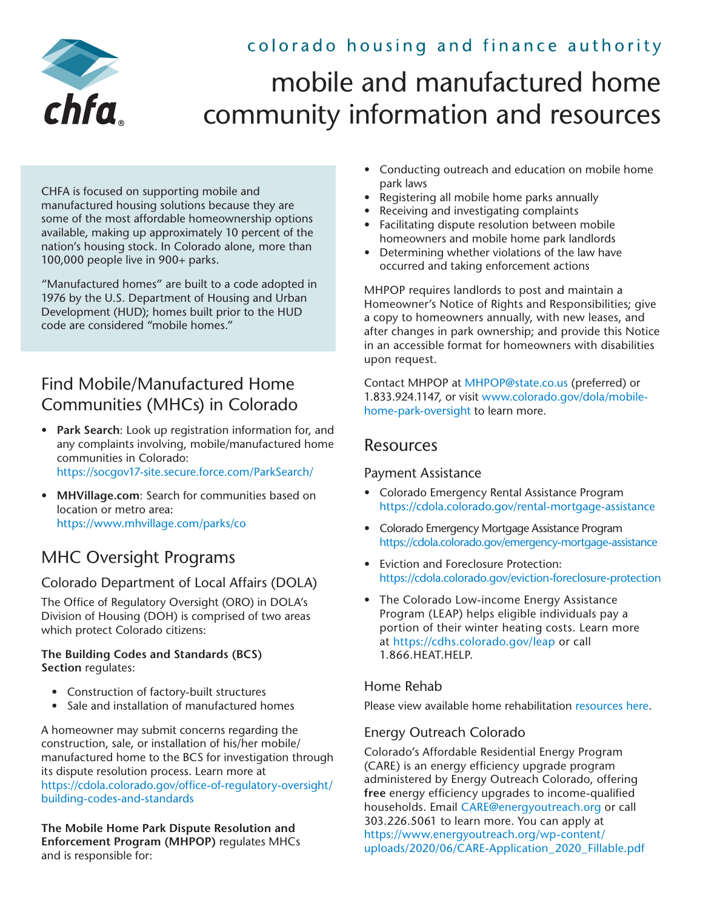# colorado housing and finance authority



# mobile and manufactured home community information and resources

CHFA is focused on supporting mobile and manufactured housing solutions because they are some of the most affordable homeownership options available, making up approximately 10 percent of the nation's housing stock. In Colorado alone, more than 100,000 people live in 900+ parks.

"Manufactured homes" are built to a code adopted in 1976 by the U.S. Department of Housing and Urban Development (HUD); homes built prior to the HUD code are considered "mobile homes."

# Find Mobile/Manufactured Home Communities (MHCs) in Colorado

- **Park Search**: Look up registration information for, and any complaints involving, mobile/manufactured home communities in Colorado: <https://socgov17-site.secure.force.com/ParkSearch/>
- **MHVillage.com**: Search for communities based on location or metro area: <https://www.mhvillage.com/parks/co>

# MHC Oversight Programs

### Colorado Department of Local Affairs (DOLA)

The Office of Regulatory Oversight (ORO) in DOLA's Division of Housing (DOH) is comprised of two areas which protect Colorado citizens:

#### **The Building Codes and Standards (BCS) Section** regulates:

- Construction of factory-built structures
- Sale and installation of manufactured homes

A homeowner may submit concerns regarding the construction, sale, or installation of his/her mobile/ manufactured home to the BCS for investigation through its dispute resolution process. Learn more at [https://cdola.colorado.gov/office-of-regulatory-oversight/](https://cdola.colorado.gov/office-of-regulatory-oversight/building-codes-and-standards) [building-codes-and-standards](https://cdola.colorado.gov/office-of-regulatory-oversight/building-codes-and-standards)

**The Mobile Home Park Dispute Resolution and Enforcement Program (MHPOP)** regulates MHCs and is responsible for:

- Conducting outreach and education on mobile home park laws
- Registering all mobile home parks annually
- Receiving and investigating complaints
- Facilitating dispute resolution between mobile homeowners and mobile home park landlords
- Determining whether violations of the law have occurred and taking enforcement actions

MHPOP requires landlords to post and maintain a Homeowner's Notice of Rights and Responsibilities; give a copy to homeowners annually, with new leases, and after changes in park ownership; and provide this Notice in an accessible format for homeowners with disabilities upon request.

Contact MHPOP at [MHPOP@state.co.us](mailto:MHPOP%40state.co.us?subject=Information%20Request) (preferred) or 1.833.924.1147, or visit [www.colorado.gov/dola/mobile](http://www.colorado.gov/dola/mobile-home-park-oversight)[home-park-oversight](http://www.colorado.gov/dola/mobile-home-park-oversight) to learn more.

# Resources

#### Payment Assistance

- Colorado Emergency Rental Assistance Program <https://cdola.colorado.gov/rental-mortgage-assistance>
- Colorado Emergency Mortgage Assistance Program <https://cdola.colorado.gov/emergency-mortgage-assistance>
- Eviction and Foreclosure Protection: <https://cdola.colorado.gov/eviction-foreclosure-protection>
- The Colorado Low-income Energy Assistance Program (LEAP) helps eligible individuals pay a portion of their winter heating costs. Learn more at <https://cdhs.colorado.gov/leap>or call 1.866.HEAT.HELP.

#### Home Rehab

Please view available home rehabilitation [resources here](https://www.chfainfo.com/getattachment/be997463-461a-4f68-98eb-57b6bc37f879/CHFA-HomeRepairProgramsResources.pdf).

#### Energy Outreach Colorado

Colorado's Affordable Residential Energy Program (CARE) is an energy efficiency upgrade program administered by Energy Outreach Colorado, offering **free** energy efficiency upgrades to income-qualified households. Email [CARE@energyoutreach.org](mailto:CARE%40energyoutreach.org?subject=) or call 303.226.5061 to learn more. You can apply at [https://www.energyoutreach.org/wp-content/](https://www.energyoutreach.org/wp-content/uploads/2020/06/CARE-Application_2020_Fillable.pdf) [uploads/2020/06/CARE-Application\\_2020\\_Fillable.pdf](https://www.energyoutreach.org/wp-content/uploads/2020/06/CARE-Application_2020_Fillable.pdf)